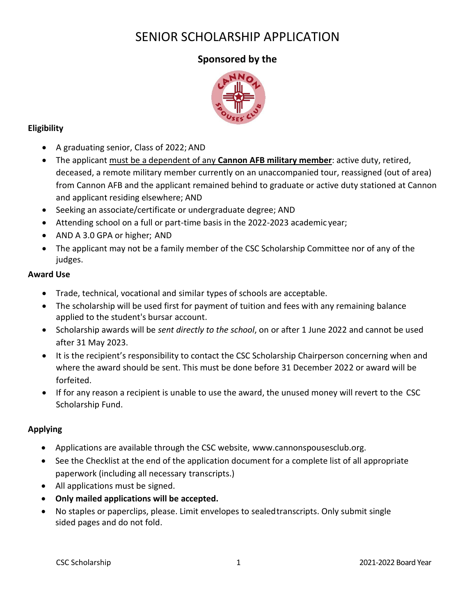# SENIOR SCHOLARSHIP APPLICATION

## **Sponsored by the**



## **Eligibility**

- A graduating senior, Class of 2022; AND
- The applicant must be a dependent of any **Cannon AFB military member**: active duty, retired, deceased, a remote military member currently on an unaccompanied tour, reassigned (out of area) from Cannon AFB and the applicant remained behind to graduate or active duty stationed at Cannon and applicant residing elsewhere; AND
- Seeking an associate/certificate or undergraduate degree; AND
- Attending school on a full or part-time basis in the 2022-2023 academic year;
- AND A 3.0 GPA or higher; AND
- The applicant may not be a family member of the CSC Scholarship Committee nor of any of the judges.

## **Award Use**

- Trade, technical, vocational and similar types of schools are acceptable.
- The scholarship will be used first for payment of tuition and fees with any remaining balance applied to the student's bursar account.
- Scholarship awards will be *sent directly to the school*, on or after 1 June 2022 and cannot be used after 31 May 2023.
- It is the recipient's responsibility to contact the CSC Scholarship Chairperson concerning when and where the award should be sent. This must be done before 31 December 2022 or award will be forfeited.
- If for any reason a recipient is unable to use the award, the unused money will revert to the CSC Scholarship Fund.

## **Applying**

- Applications are available through the CSC website, [www.cannonspousesclub.org.](http://www.cannonspousesclub.org/)
- See the Checklist at the end of the application document for a complete list of all appropriate paperwork (including all necessary transcripts.)
- All applications must be signed.
- **Only mailed applications will be accepted.**
- No staples or paperclips, please. Limit envelopes to sealedtranscripts. Only submit single sided pages and do not fold.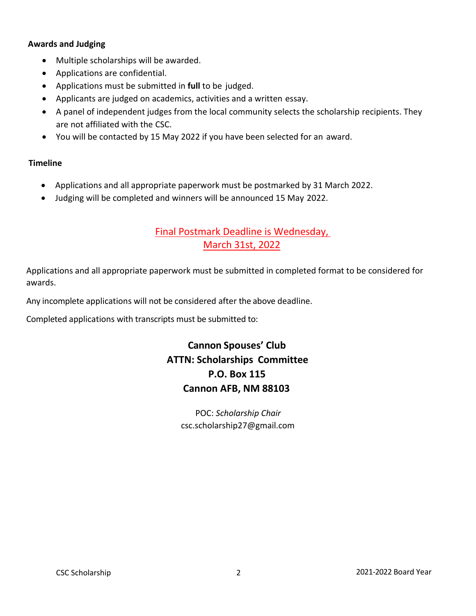#### **Awards and Judging**

- Multiple scholarships will be awarded.
- Applications are confidential.
- Applications must be submitted in **full** to be judged.
- Applicants are judged on academics, activities and a written essay.
- A panel of independent judges from the local community selects the scholarship recipients. They are not affiliated with the CSC.
- You will be contacted by 15 May 2022 if you have been selected for an award.

#### **Timeline**

- Applications and all appropriate paperwork must be postmarked by 31 March 2022.
- Judging will be completed and winners will be announced 15 May 2022.

## Final Postmark Deadline is Wednesday, March 31st, 2022

Applications and all appropriate paperwork must be submitted in completed format to be considered for awards.

Any incomplete applications will not be considered after the above deadline.

Completed applications with transcripts must be submitted to:

## **Cannon Spouses' Club ATTN: Scholarships Committee P.O. Box 115 Cannon AFB, NM 88103**

POC: *Scholarship Chair* csc.scholarship27@gmail.com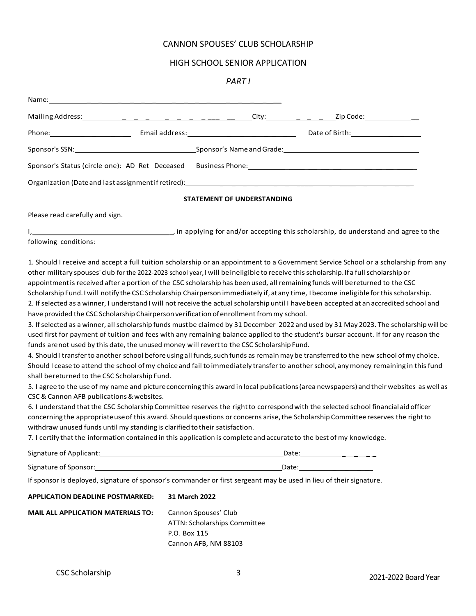### CANNON SPOUSES' CLUB SCHOLARSHIP

#### HIGH SCHOOL SENIOR APPLICATION

#### *PART I*

| Sponsor's SSN: Sponsor's Name and Grade: Sponsor's Name and Grade:                                                                                                                                                                                                                                                                                                                                                                                                                                                                                                                                                                                                                                                                                                                                                                                                                                                                                                                                                                                                                                                                                                                         |                                                                                              |                                                                                                                                                                                                                                                                                                                                                                                                                                                                                                                                                                                                                                                                                                                                                                                                                                                                                                                                                                                                    |
|--------------------------------------------------------------------------------------------------------------------------------------------------------------------------------------------------------------------------------------------------------------------------------------------------------------------------------------------------------------------------------------------------------------------------------------------------------------------------------------------------------------------------------------------------------------------------------------------------------------------------------------------------------------------------------------------------------------------------------------------------------------------------------------------------------------------------------------------------------------------------------------------------------------------------------------------------------------------------------------------------------------------------------------------------------------------------------------------------------------------------------------------------------------------------------------------|----------------------------------------------------------------------------------------------|----------------------------------------------------------------------------------------------------------------------------------------------------------------------------------------------------------------------------------------------------------------------------------------------------------------------------------------------------------------------------------------------------------------------------------------------------------------------------------------------------------------------------------------------------------------------------------------------------------------------------------------------------------------------------------------------------------------------------------------------------------------------------------------------------------------------------------------------------------------------------------------------------------------------------------------------------------------------------------------------------|
|                                                                                                                                                                                                                                                                                                                                                                                                                                                                                                                                                                                                                                                                                                                                                                                                                                                                                                                                                                                                                                                                                                                                                                                            |                                                                                              |                                                                                                                                                                                                                                                                                                                                                                                                                                                                                                                                                                                                                                                                                                                                                                                                                                                                                                                                                                                                    |
|                                                                                                                                                                                                                                                                                                                                                                                                                                                                                                                                                                                                                                                                                                                                                                                                                                                                                                                                                                                                                                                                                                                                                                                            |                                                                                              |                                                                                                                                                                                                                                                                                                                                                                                                                                                                                                                                                                                                                                                                                                                                                                                                                                                                                                                                                                                                    |
|                                                                                                                                                                                                                                                                                                                                                                                                                                                                                                                                                                                                                                                                                                                                                                                                                                                                                                                                                                                                                                                                                                                                                                                            | STATEMENT OF UNDERSTANDING                                                                   |                                                                                                                                                                                                                                                                                                                                                                                                                                                                                                                                                                                                                                                                                                                                                                                                                                                                                                                                                                                                    |
| Please read carefully and sign.                                                                                                                                                                                                                                                                                                                                                                                                                                                                                                                                                                                                                                                                                                                                                                                                                                                                                                                                                                                                                                                                                                                                                            |                                                                                              |                                                                                                                                                                                                                                                                                                                                                                                                                                                                                                                                                                                                                                                                                                                                                                                                                                                                                                                                                                                                    |
| following conditions:                                                                                                                                                                                                                                                                                                                                                                                                                                                                                                                                                                                                                                                                                                                                                                                                                                                                                                                                                                                                                                                                                                                                                                      |                                                                                              |                                                                                                                                                                                                                                                                                                                                                                                                                                                                                                                                                                                                                                                                                                                                                                                                                                                                                                                                                                                                    |
| other military spouses' club for the 2022-2023 school year, I will beineligible to receive this scholarship. If a full scholarship or<br>appointment is received after a portion of the CSC scholarship has been used, all remaining funds will bereturned to the CSC<br>Scholarship Fund. I will notify the CSC Scholarship Chairperson immediately if, at any time, I become ineligible for this scholarship.<br>have provided the CSC Scholarship Chairperson verification of enrollment from my school.<br>funds are not used by this date, the unused money will revert to the CSC Scholarship Fund.<br>shall bereturned to the CSC Scholarship Fund.<br>CSC & Cannon AFB publications & websites.<br>6. I understand that the CSC Scholarship Committee reserves the right to correspond with the selected school financial aid officer<br>concerning the appropriate use of this award. Should questions or concerns arise, the Scholarship Committee reserves the right to<br>withdraw unused funds until my standing is clarified to their satisfaction.<br>7. I certify that the information contained in this application is complete and accurate to the best of my knowledge. |                                                                                              | 1. Should I receive and accept a full tuition scholarship or an appointment to a Government Service School or a scholarship from any<br>2. If selected as a winner, I understand I will not receive the actual scholarship until I have been accepted at an accredited school and<br>3. If selected as a winner, all scholarship funds must be claimed by 31 December 2022 and used by 31 May 2023. The scholarship will be<br>used first for payment of tuition and fees with any remaining balance applied to the student's bursar account. If for any reason the<br>4. Should I transfer to another school before using all funds, such funds as remain may be transferred to the new school of my choice.<br>Should I cease to attend the school of my choice and fail to immediately transfer to another school, any money remaining in this fund<br>5. I agree to the use of my name and picture concerning this award in local publications (area newspapers) and their websites as well as |
| Signature of Applicant: Signature of Applicant:                                                                                                                                                                                                                                                                                                                                                                                                                                                                                                                                                                                                                                                                                                                                                                                                                                                                                                                                                                                                                                                                                                                                            |                                                                                              | Date: <u>____________________</u>                                                                                                                                                                                                                                                                                                                                                                                                                                                                                                                                                                                                                                                                                                                                                                                                                                                                                                                                                                  |
| Signature of Sponsor: North Contract of Sponsor: North Contract of Sponsor: North Contract of Sponsor: North Contract of Sponsor: North Contract of Sponsor: North Contract of Sponsor: North Contract of Sponsor: North Contr                                                                                                                                                                                                                                                                                                                                                                                                                                                                                                                                                                                                                                                                                                                                                                                                                                                                                                                                                             |                                                                                              | Date: the contract of the contract of the contract of the contract of the contract of the contract of the contract of the contract of the contract of the contract of the contract of the contract of the contract of the cont                                                                                                                                                                                                                                                                                                                                                                                                                                                                                                                                                                                                                                                                                                                                                                     |
| If sponsor is deployed, signature of sponsor's commander or first sergeant may be used in lieu of their signature.                                                                                                                                                                                                                                                                                                                                                                                                                                                                                                                                                                                                                                                                                                                                                                                                                                                                                                                                                                                                                                                                         |                                                                                              |                                                                                                                                                                                                                                                                                                                                                                                                                                                                                                                                                                                                                                                                                                                                                                                                                                                                                                                                                                                                    |
| <b>APPLICATION DEADLINE POSTMARKED:</b>                                                                                                                                                                                                                                                                                                                                                                                                                                                                                                                                                                                                                                                                                                                                                                                                                                                                                                                                                                                                                                                                                                                                                    | 31 March 2022                                                                                |                                                                                                                                                                                                                                                                                                                                                                                                                                                                                                                                                                                                                                                                                                                                                                                                                                                                                                                                                                                                    |
| <b>MAIL ALL APPLICATION MATERIALS TO:</b>                                                                                                                                                                                                                                                                                                                                                                                                                                                                                                                                                                                                                                                                                                                                                                                                                                                                                                                                                                                                                                                                                                                                                  | Cannon Spouses' Club<br>ATTN: Scholarships Committee<br>P.O. Box 115<br>Cannon AFB, NM 88103 |                                                                                                                                                                                                                                                                                                                                                                                                                                                                                                                                                                                                                                                                                                                                                                                                                                                                                                                                                                                                    |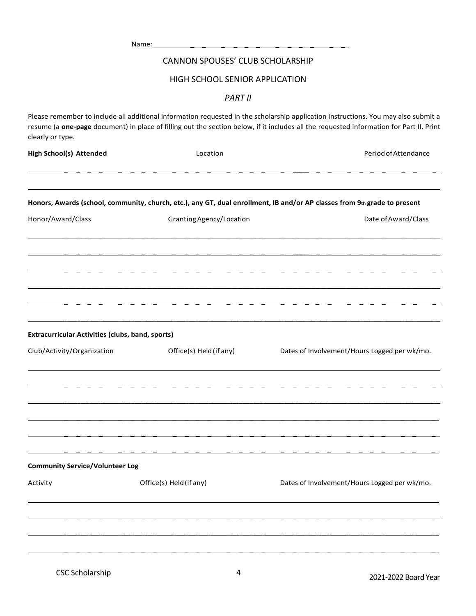|                                                         | Name:                            |                                                                                                                                                                                                                                                                               |
|---------------------------------------------------------|----------------------------------|-------------------------------------------------------------------------------------------------------------------------------------------------------------------------------------------------------------------------------------------------------------------------------|
|                                                         | CANNON SPOUSES' CLUB SCHOLARSHIP |                                                                                                                                                                                                                                                                               |
|                                                         | HIGH SCHOOL SENIOR APPLICATION   |                                                                                                                                                                                                                                                                               |
|                                                         | <b>PART II</b>                   |                                                                                                                                                                                                                                                                               |
| clearly or type.                                        |                                  | Please remember to include all additional information requested in the scholarship application instructions. You may also submit a<br>resume (a one-page document) in place of filling out the section below, if it includes all the requested information for Part II. Print |
| <b>High School(s) Attended</b>                          | Location                         | Period of Attendance                                                                                                                                                                                                                                                          |
|                                                         |                                  | Honors, Awards (school, community, church, etc.), any GT, dual enrollment, IB and/or AP classes from 9th grade to present                                                                                                                                                     |
| Honor/Award/Class                                       | Granting Agency/Location         | Date of Award/Class                                                                                                                                                                                                                                                           |
|                                                         |                                  |                                                                                                                                                                                                                                                                               |
|                                                         |                                  |                                                                                                                                                                                                                                                                               |
|                                                         |                                  |                                                                                                                                                                                                                                                                               |
|                                                         |                                  |                                                                                                                                                                                                                                                                               |
| <b>Extracurricular Activities (clubs, band, sports)</b> |                                  |                                                                                                                                                                                                                                                                               |
| Club/Activity/Organization                              | Office(s) Held (if any)          | Dates of Involvement/Hours Logged per wk/mo.                                                                                                                                                                                                                                  |
|                                                         |                                  |                                                                                                                                                                                                                                                                               |
|                                                         |                                  |                                                                                                                                                                                                                                                                               |
|                                                         |                                  |                                                                                                                                                                                                                                                                               |
| <b>Community Service/Volunteer Log</b>                  |                                  |                                                                                                                                                                                                                                                                               |
| Activity                                                | Office(s) Held (if any)          | Dates of Involvement/Hours Logged per wk/mo.                                                                                                                                                                                                                                  |
|                                                         |                                  |                                                                                                                                                                                                                                                                               |
|                                                         |                                  |                                                                                                                                                                                                                                                                               |
|                                                         |                                  |                                                                                                                                                                                                                                                                               |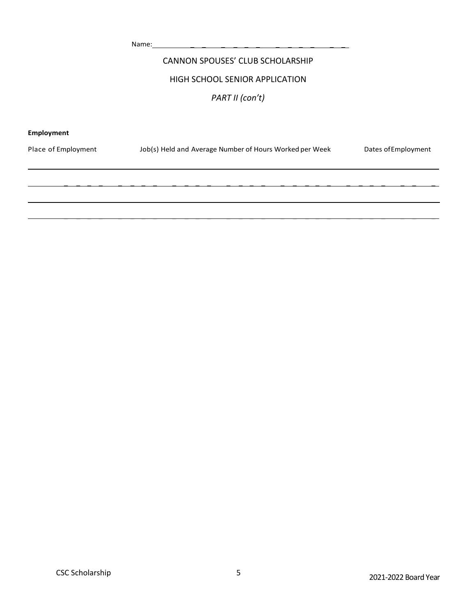Name: \_ \_ \_ \_ \_ \_ \_ \_ \_ \_ \_ \_

### CANNON SPOUSES' CLUB SCHOLARSHIP

#### HIGH SCHOOL SENIOR APPLICATION

### *PART II (con't)*

#### **Employment**

| Place of Employment | Job(s) Held and Average Number of Hours Worked per Week | Dates of Employment |
|---------------------|---------------------------------------------------------|---------------------|
|                     |                                                         |                     |
|                     |                                                         |                     |
|                     |                                                         |                     |
|                     |                                                         |                     |
|                     |                                                         |                     |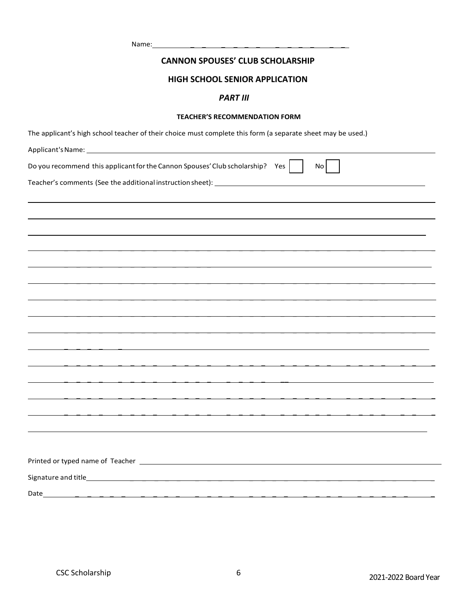Name: \_ \_ \_ \_ \_ \_ \_ \_ \_ \_ \_ \_

#### **CANNON SPOUSES' CLUB SCHOLARSHIP**

#### **HIGH SCHOOL SENIOR APPLICATION**

#### *PART III*

#### **TEACHER'S RECOMMENDATION FORM**

The applicant's high school teacher of their choice must complete this form (a separate sheet may be used.)

| Do you recommend this applicant for the Cannon Spouses' Club scholarship? Yes<br>No |
|-------------------------------------------------------------------------------------|
|                                                                                     |
|                                                                                     |
|                                                                                     |
|                                                                                     |
|                                                                                     |
|                                                                                     |
|                                                                                     |
|                                                                                     |
|                                                                                     |
|                                                                                     |
|                                                                                     |
|                                                                                     |
|                                                                                     |
|                                                                                     |
|                                                                                     |
|                                                                                     |
|                                                                                     |
|                                                                                     |
|                                                                                     |
| Date                                                                                |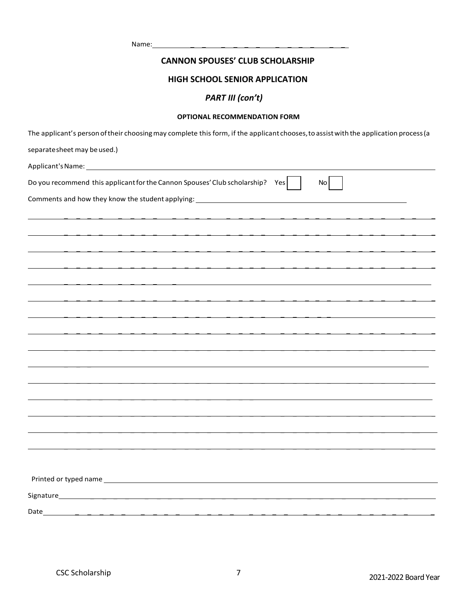Name: \_ \_ \_ \_ \_ \_ \_ \_ \_ \_ \_ \_

#### **CANNON SPOUSES' CLUB SCHOLARSHIP**

#### **HIGH SCHOOL SENIOR APPLICATION**

### *PART III (con't)*

#### **OPTIONAL RECOMMENDATION FORM**

| The applicant's person of their choosing may complete this form, if the applicant chooses, to assist with the application process (a |
|--------------------------------------------------------------------------------------------------------------------------------------|
| separate sheet may be used.)                                                                                                         |
|                                                                                                                                      |
| Do you recommend this applicant for the Cannon Spouses' Club scholarship? Yes<br>No I                                                |
| Comments and how they know the student applying: _______________________________                                                     |
|                                                                                                                                      |
|                                                                                                                                      |
|                                                                                                                                      |
|                                                                                                                                      |
|                                                                                                                                      |
|                                                                                                                                      |
|                                                                                                                                      |
|                                                                                                                                      |
|                                                                                                                                      |
|                                                                                                                                      |
|                                                                                                                                      |
|                                                                                                                                      |
|                                                                                                                                      |
|                                                                                                                                      |
|                                                                                                                                      |
|                                                                                                                                      |
|                                                                                                                                      |
|                                                                                                                                      |
|                                                                                                                                      |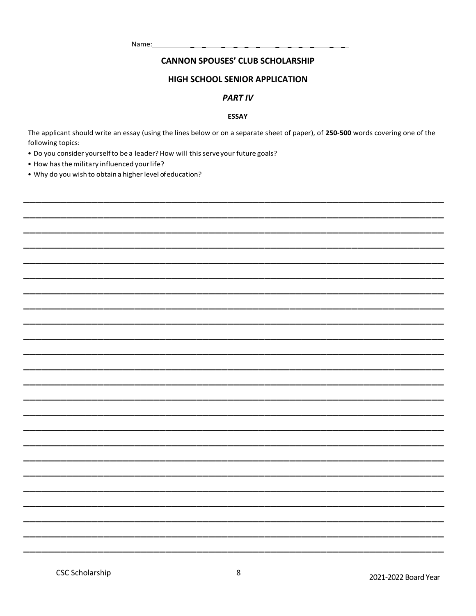Name:

#### **CANNON SPOUSES' CLUB SCHOLARSHIP**

#### HIGH SCHOOL SENIOR APPLICATION

#### **PART IV**

#### **ESSAY**

The applicant should write an essay (using the lines below or on a separate sheet of paper), of 250-500 words covering one of the following topics:

- . Do you consider yourself to be a leader? How will this serve your future goals?
- How has the military influenced your life?
- . Why do you wish to obtain a higher level of education?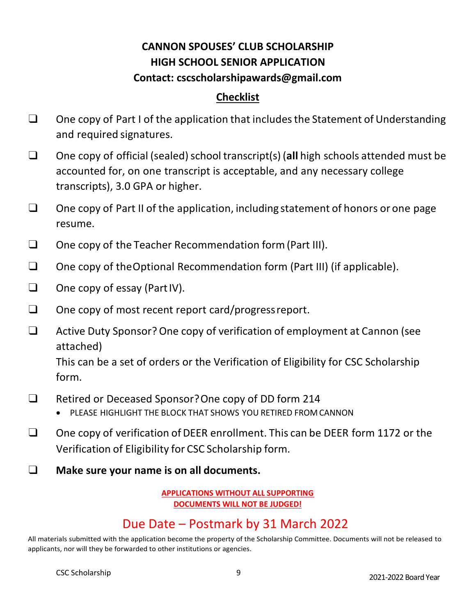# **CANNON SPOUSES' CLUB SCHOLARSHIP HIGH SCHOOL SENIOR APPLICATION Contact: [cscscholarshipawards@gmail.com](mailto:cscscholarshipawards@gmail.com)**

## **Checklist**

- $\Box$  One copy of Part I of the application that includes the Statement of Understanding and required signatures.
- □ One copy of official (sealed) school transcript(s) (all high schools attended must be accounted for, on one transcript is acceptable, and any necessary college transcripts), 3.0 GPA or higher.
- ❑ One copy of Part II of the application, including statement of honors or one page resume.
- ❑ One copy of the Teacher Recommendation form(Part III).
- ❑ One copy of theOptional Recommendation form (Part III) (if applicable).
- ❑ One copy of essay (PartIV).
- ❑ One copy of most recent report card/progressreport.
- ❑ Active Duty Sponsor?One copy of verification of employment at Cannon (see attached)

This can be a set of orders or the Verification of Eligibility for CSC Scholarship form.

- ❑ Retired or Deceased Sponsor?One copy of DD form 214
	- PLEASE HIGHLIGHT THE BLOCK THAT SHOWS YOU RETIRED FROM CANNON
- ❑ One copy of verification ofDEER enrollment. This can be DEER form 1172 or the Verification of Eligibility for CSC Scholarship form.
- ❑ **Make sure your name is on all documents.**

### **APPLICATIONS WITHOUT ALL SUPPORTING DOCUMENTS WILL NOT BE JUDGED!**

# Due Date – Postmark by 31 March 2022

All materials submitted with the application become the property of the Scholarship Committee. Documents will not be released to applicants, nor will they be forwarded to other institutions or agencies.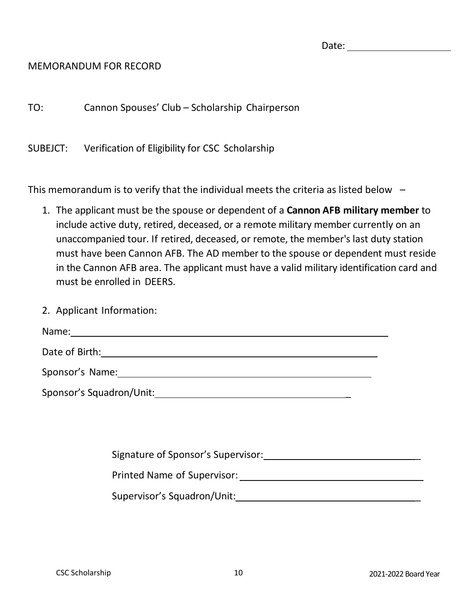| c.<br>٧ |
|---------|
|---------|

## MEMORANDUM FOR RECORD

TO: Cannon Spouses' Club – Scholarship Chairperson

SUBEJCT: Verification of Eligibility for CSC Scholarship

This memorandum is to verify that the individual meets the criteria as listed below  $-$ 

- 1. The applicant must be the spouse or dependent of a **Cannon AFB military member** to include active duty, retired, deceased, or a remote military member currently on an unaccompanied tour. If retired, deceased, or remote, the member's last duty station must have been Cannon AFB. The AD member to the spouse or dependent must reside in the Cannon AFB area. The applicant must have a valid military identification card and must be enrolled in DEERS.
- 2. Applicant Information: Name: Date of Birth: Sponsor's Name: Sponsor's Squadron/Unit: \_

Signature of Sponsor's Supervisor: \_

Printed Name of Supervisor:

Supervisor's Squadron/Unit: **Example 2018**